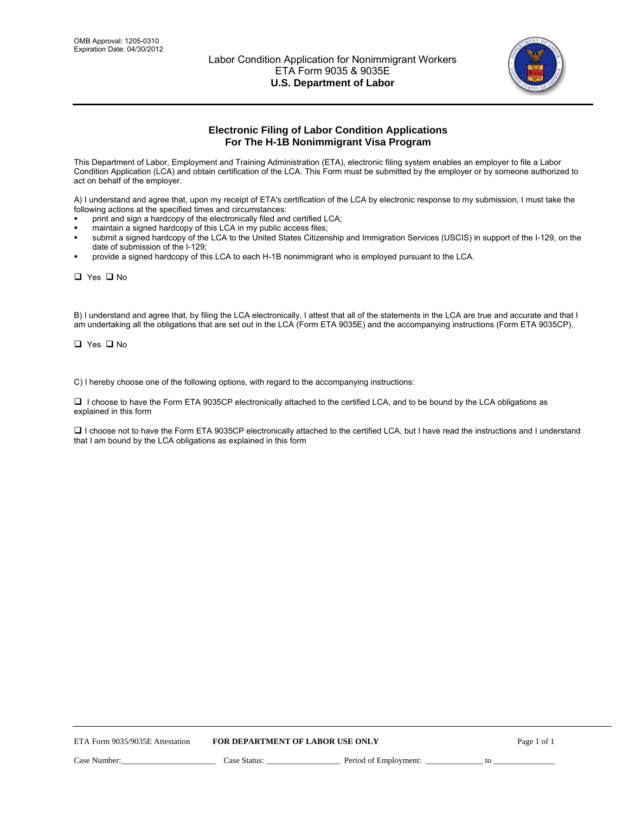

# **Electronic Filing of Labor Condition Applications For The H-1B Nonimmigrant Visa Program**

This Department of Labor, Employment and Training Administration (ETA), electronic filing system enables an employer to file a Labor Condition Application (LCA) and obtain certification of the LCA. This Form must be submitted by the employer or by someone authorized to act on behalf of the employer.

A) I understand and agree that, upon my receipt of ETA's certification of the LCA by electronic response to my submission, I must take the following actions at the specified times and circumstances:

- print and sign a hardcopy of the electronically filed and certified LCA;
- maintain a signed hardcopy of this LCA in my public access files;
- submit a signed hardcopy of the LCA to the United States Citizenship and Immigration Services (USCIS) in support of the I-129, on the date of submission of the I-129;
- provide a signed hardcopy of this LCA to each H-1B nonimmigrant who is employed pursuant to the LCA.

□ Yes □ No

B) I understand and agree that, by filing the LCA electronically, I attest that all of the statements in the LCA are true and accurate and that I am undertaking all the obligations that are set out in the LCA (Form ETA 9035E) and the accompanying instructions (Form ETA 9035CP).

□ Yes □ No

C) I hereby choose one of the following options, with regard to the accompanying instructions:

 I choose to have the Form ETA 9035CP electronically attached to the certified LCA, and to be bound by the LCA obligations as explained in this form

□ I choose not to have the Form ETA 9035CP electronically attached to the certified LCA, but I have read the instructions and I understand that I am bound by the LCA obligations as explained in this form

| ETA Form 9035/9035E Attestation |              | <b>FOR DEPARTMENT OF LABOR USE ONLY</b> |    | Page 1 of 1 |
|---------------------------------|--------------|-----------------------------------------|----|-------------|
| Case Number:                    | Case Status: | Period of Employment:                   | to |             |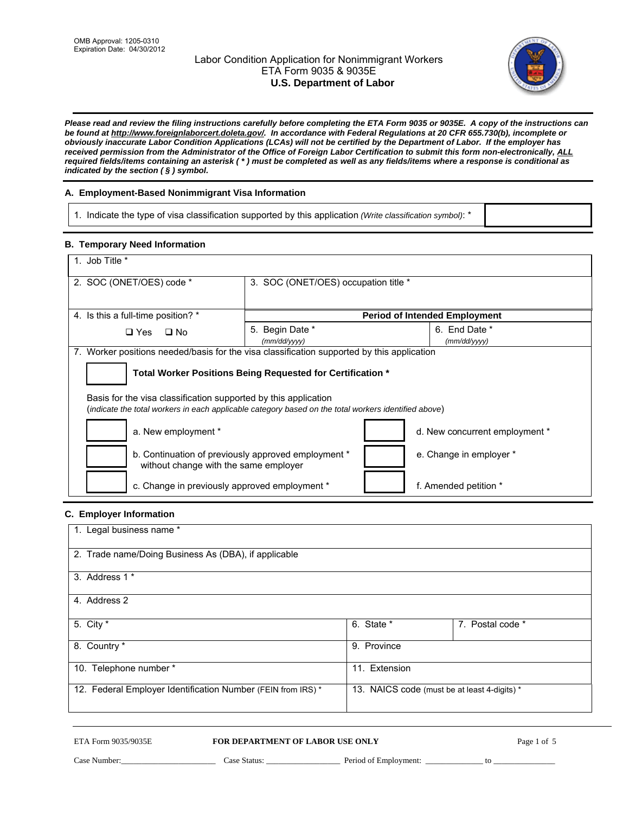# Labor Condition Application for Nonimmigrant Workers ETA Form 9035 & 9035E **U.S. Department of Labor**



*Please read and review the filing instructions carefully before completing the ETA Form 9035 or 9035E. A copy of the instructions can be found at http://www.foreignlaborcert.doleta.gov/. In accordance with Federal Regulations at 20 CFR 655.730(b), incomplete or obviously inaccurate Labor Condition Applications (LCAs) will not be certified by the Department of Labor. If the employer has received permission from the Administrator of the Office of Foreign Labor Certification to submit this form non-electronically, ALL required fields/items containing an asterisk ( \* ) must be completed as well as any fields/items where a response is conditional as indicated by the section ( § ) symbol.* 

## **A. Employment-Based Nonimmigrant Visa Information**

1. Indicate the type of visa classification supported by this application *(Write classification symbol)*: \*

### **B. Temporary Need Information**

| 1. Job Title *                                                                                                                                                          |                                      |                                      |  |  |
|-------------------------------------------------------------------------------------------------------------------------------------------------------------------------|--------------------------------------|--------------------------------------|--|--|
| 2. SOC (ONET/OES) code *                                                                                                                                                | 3. SOC (ONET/OES) occupation title * |                                      |  |  |
| 4. Is this a full-time position? *                                                                                                                                      |                                      | <b>Period of Intended Employment</b> |  |  |
| $\Box$ Yes<br>$\square$ No                                                                                                                                              | 5. Begin Date *<br>(mm/dd/yyyy)      | 6. End Date *<br>(mm/dd/yyyy)        |  |  |
| 7. Worker positions needed/basis for the visa classification supported by this application                                                                              |                                      |                                      |  |  |
| Total Worker Positions Being Requested for Certification *                                                                                                              |                                      |                                      |  |  |
| Basis for the visa classification supported by this application<br>(indicate the total workers in each applicable category based on the total workers identified above) |                                      |                                      |  |  |
| a. New employment *<br>d. New concurrent employment *                                                                                                                   |                                      |                                      |  |  |
| b. Continuation of previously approved employment *<br>without change with the same employer                                                                            |                                      | e. Change in employer *              |  |  |
| c. Change in previously approved employment *                                                                                                                           |                                      | f. Amended petition *                |  |  |

### **C. Employer Information**

| 1. Legal business name *                                     |                                              |                  |
|--------------------------------------------------------------|----------------------------------------------|------------------|
| 2. Trade name/Doing Business As (DBA), if applicable         |                                              |                  |
| 3. Address 1 *                                               |                                              |                  |
| 4. Address 2                                                 |                                              |                  |
| 5. City $*$                                                  | 6. State *                                   | 7. Postal code * |
| 8. Country *                                                 | 9. Province                                  |                  |
| 10. Telephone number *                                       | 11. Extension                                |                  |
| 12. Federal Employer Identification Number (FEIN from IRS) * | 13. NAICS code (must be at least 4-digits) * |                  |

#### ETA Form 9035/9035E **FOR DEPARTMENT OF LABOR USE ONLY**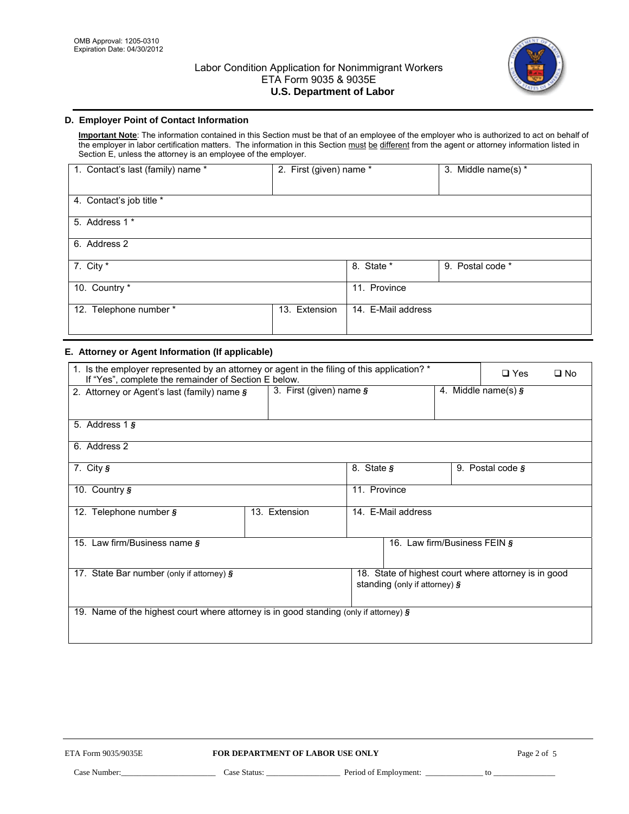

## **D. Employer Point of Contact Information**

**Important Note**: The information contained in this Section must be that of an employee of the employer who is authorized to act on behalf of the employer in labor certification matters. The information in this Section must be different from the agent or attorney information listed in Section E, unless the attorney is an employee of the employer.

| 1. Contact's last (family) name * | 2. First (given) name * |                    | 3. Middle name(s) * |
|-----------------------------------|-------------------------|--------------------|---------------------|
| 4. Contact's job title *          |                         |                    |                     |
| 5. Address 1 *                    |                         |                    |                     |
| 6. Address 2                      |                         |                    |                     |
| 7. City *                         |                         | 8. State *         | 9. Postal code *    |
| 10. Country *                     |                         | 11. Province       |                     |
| 12. Telephone number *            | 13. Extension           | 14. E-Mail address |                     |

## **E. Attorney or Agent Information (If applicable)**

| 1. Is the employer represented by an attorney or agent in the filing of this application? *<br>If "Yes", complete the remainder of Section E below. |                               |                  |                                                                                          | $\square$ Yes | $\square$ No              |  |
|-----------------------------------------------------------------------------------------------------------------------------------------------------|-------------------------------|------------------|------------------------------------------------------------------------------------------|---------------|---------------------------|--|
| 2. Attorney or Agent's last (family) name §                                                                                                         | 3. First (given) name $\zeta$ |                  |                                                                                          |               | 4. Middle name(s) $\zeta$ |  |
|                                                                                                                                                     |                               |                  |                                                                                          |               |                           |  |
| 5. Address $1 \, \text{s}$                                                                                                                          |                               |                  |                                                                                          |               |                           |  |
| 6. Address 2                                                                                                                                        |                               |                  |                                                                                          |               |                           |  |
| 7. City $\sqrt{s}$                                                                                                                                  |                               | 8. State $\zeta$ |                                                                                          |               | 9. Postal code $\zeta$    |  |
| 10. Country $\zeta$                                                                                                                                 |                               | 11. Province     |                                                                                          |               |                           |  |
| 12. Telephone number §                                                                                                                              | 13. Extension                 |                  | 14. E-Mail address                                                                       |               |                           |  |
| 15. Law firm/Business name §                                                                                                                        |                               |                  | 16. Law firm/Business FEIN §                                                             |               |                           |  |
| 17. State Bar number (only if attorney) §                                                                                                           |                               |                  | 18. State of highest court where attorney is in good<br>standing (only if attorney) $\S$ |               |                           |  |
| 19. Name of the highest court where attorney is in good standing (only if attorney) $\zeta$                                                         |                               |                  |                                                                                          |               |                           |  |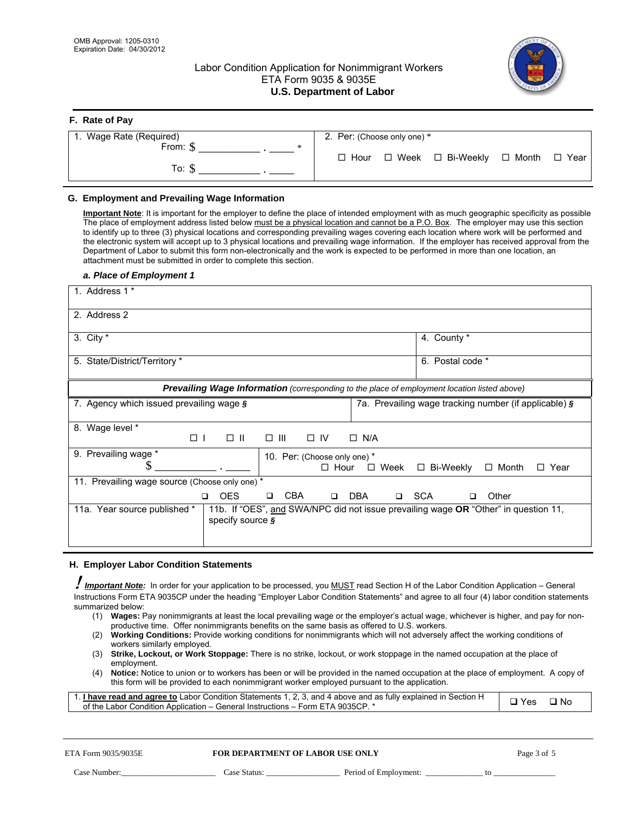## Labor Condition Application for Nonimmigrant Workers ETA Form 9035 & 9035E **U.S. Department of Labor**



### **F. Rate of Pay**

| 1. Wage Rate (Required)  | 2. Per: (Choose only one) * |                            |        |
|--------------------------|-----------------------------|----------------------------|--------|
| From: \$<br>∗<br>To: $$$ | $\Box$ Hour                 | □ Week □ Bi-Weekly □ Month | □ Year |

#### **G. Employment and Prevailing Wage Information**

**Important Note**: It is important for the employer to define the place of intended employment with as much geographic specificity as possible The place of employment address listed below must be a physical location and cannot be a P.O. Box. The employer may use this section to identify up to three (3) physical locations and corresponding prevailing wages covering each location where work will be performed and the electronic system will accept up to 3 physical locations and prevailing wage information. If the employer has received approval from the Department of Labor to submit this form non-electronically and the work is expected to be performed in more than one location, an attachment must be submitted in order to complete this section.

#### *a. Place of Employment 1*

| 1. Address 1 *                                                                               |                                                                                     |
|----------------------------------------------------------------------------------------------|-------------------------------------------------------------------------------------|
| 2. Address 2                                                                                 |                                                                                     |
| 3. City $*$                                                                                  | 4. County *                                                                         |
| 5. State/District/Territory *                                                                | 6. Postal code *                                                                    |
| Prevailing Wage Information (corresponding to the place of employment location listed above) |                                                                                     |
| 7. Agency which issued prevailing wage §                                                     | 7a. Prevailing wage tracking number (if applicable) §                               |
| 8. Wage level *<br>$\Box$ $\parallel$<br>$\square$ $\square$<br>$\Box$<br>$\Box$ IV          | $\Box$ N/A                                                                          |
| 9. Prevailing wage *<br>10. Per: (Choose only one) *<br>S<br>$\Box$ Hour                     | $\Box$ Week<br>$\Box$ Bi-Weekly<br>$\Box$ Month<br>$\Box$ Year                      |
| 11. Prevailing wage source (Choose only one) *                                               |                                                                                     |
| <b>CBA</b><br><b>OES</b><br>□<br>$\Box$<br>◻                                                 | DBA<br><b>SCA</b><br>Other<br>$\Box$<br>□                                           |
| 11a. Year source published *<br>specify source §                                             | 11b. If "OES", and SWA/NPC did not issue prevailing wage OR "Other" in question 11, |

#### **H. Employer Labor Condition Statements**

! *Important Note:* In order for your application to be processed, you MUST read Section H of the Labor Condition Application – General Instructions Form ETA 9035CP under the heading "Employer Labor Condition Statements" and agree to all four (4) labor condition statements summarized below:

- (1) **Wages:** Pay nonimmigrants at least the local prevailing wage or the employer's actual wage, whichever is higher, and pay for nonproductive time. Offer nonimmigrants benefits on the same basis as offered to U.S. workers.
- (2) **Working Conditions:** Provide working conditions for nonimmigrants which will not adversely affect the working conditions of workers similarly employed.
- (3) **Strike, Lockout, or Work Stoppage:** There is no strike, lockout, or work stoppage in the named occupation at the place of employment.
- (4) **Notice:** Notice to union or to workers has been or will be provided in the named occupation at the place of employment. A copy of this form will be provided to each nonimmigrant worker employed pursuant to the application.

| 1. I have read and agree to Labor Condition Statements 1, 2, 3, and 4 above and as fully explained in Section H | $\neg$ Yes $\Box$ | ר ⊡ No |
|-----------------------------------------------------------------------------------------------------------------|-------------------|--------|
| of the Labor Condition Application – General Instructions – Form ETA 9035CP. *                                  |                   |        |

| $\mathbf{D} \sim \mathbf{D}$ |  |  |
|------------------------------|--|--|

#### **ETA Form 9035/9035E <b>FOR DEPARTMENT OF LABOR USE ONLY**

Case Number:\_\_\_\_\_\_\_\_\_\_\_\_\_\_\_\_\_\_\_\_\_\_\_ Case Status: \_\_\_\_\_\_\_\_\_\_\_\_\_\_\_\_\_\_ Period of Employment: \_\_\_\_\_\_\_\_\_\_\_\_\_\_ to \_\_\_\_\_\_\_\_\_\_\_\_\_\_\_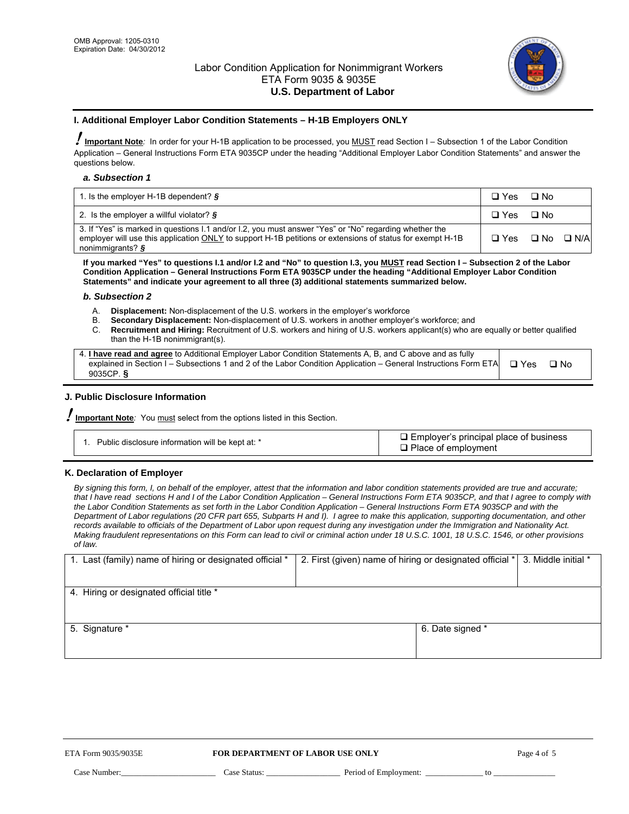

## **I. Additional Employer Labor Condition Statements – H-1B Employers ONLY**

!**Important Note***:* In order for your H-1B application to be processed, you MUST read Section I – Subsection 1 of the Labor Condition Application – General Instructions Form ETA 9035CP under the heading "Additional Employer Labor Condition Statements" and answer the questions below.

#### *a. Subsection 1*

| 1. Is the employer H-1B dependent? $\S$                                                                                                                                                                                                 | □ Yes □ No                      |  |
|-----------------------------------------------------------------------------------------------------------------------------------------------------------------------------------------------------------------------------------------|---------------------------------|--|
| 2. Is the employer a willful violator? $\frac{1}{2}$                                                                                                                                                                                    | □ Yes □ No                      |  |
| 3. If "Yes" is marked in questions I.1 and/or I.2, you must answer "Yes" or "No" regarding whether the<br>employer will use this application ONLY to support H-1B petitions or extensions of status for exempt H-1B<br>nonimmigrants? § | $\Box$ Yes $\Box$ No $\Box$ N/A |  |

**If you marked "Yes" to questions I.1 and/or I.2 and "No" to question I.3, you MUST read Section I – Subsection 2 of the Labor Condition Application – General Instructions Form ETA 9035CP under the heading "Additional Employer Labor Condition Statements" and indicate your agreement to all three (3) additional statements summarized below.** 

#### *b. Subsection 2*

- A. **Displacement:** Non-displacement of the U.S. workers in the employer's workforce
- B. **Secondary Displacement:** Non-displacement of U.S. workers in another employer's workforce; and
- C. **Recruitment and Hiring:** Recruitment of U.S. workers and hiring of U.S. workers applicant(s) who are equally or better qualified than the H-1B nonimmigrant(s).

| 4. I have read and agree to Additional Employer Labor Condition Statements A, B, and C above and as fully                  |      |
|----------------------------------------------------------------------------------------------------------------------------|------|
| explained in Section I – Subsections 1 and 2 of the Labor Condition Application – General Instructions Form ETA $\Box$ Yes | ⊡ No |
| 9035CP. $\delta$                                                                                                           |      |

### **J. Public Disclosure Information**

!**Important Note***:* You must select from the options listed in this Section.

| Public disclosure information will be kept at: * | $\Box$ Employer's principal place of business<br>$\Box$ Place of employment |
|--------------------------------------------------|-----------------------------------------------------------------------------|
|--------------------------------------------------|-----------------------------------------------------------------------------|

#### **K. Declaration of Employer**

*By signing this form, I, on behalf of the employer, attest that the information and labor condition statements provided are true and accurate; that I have read sections H and I of the Labor Condition Application – General Instructions Form ETA 9035CP, and that I agree to comply with the Labor Condition Statements as set forth in the Labor Condition Application – General Instructions Form ETA 9035CP and with the Department of Labor regulations (20 CFR part 655, Subparts H and I). I agree to make this application, supporting documentation, and other records available to officials of the Department of Labor upon request during any investigation under the Immigration and Nationality Act. Making fraudulent representations on this Form can lead to civil or criminal action under 18 U.S.C. 1001, 18 U.S.C. 1546, or other provisions of law.* 

| 1. Last (family) name of hiring or designated official * | 2. First (given) name of hiring or designated official * 3. Middle initial * |  |
|----------------------------------------------------------|------------------------------------------------------------------------------|--|
| 4. Hiring or designated official title *                 |                                                                              |  |
| 5. Signature *                                           | 6. Date signed *                                                             |  |